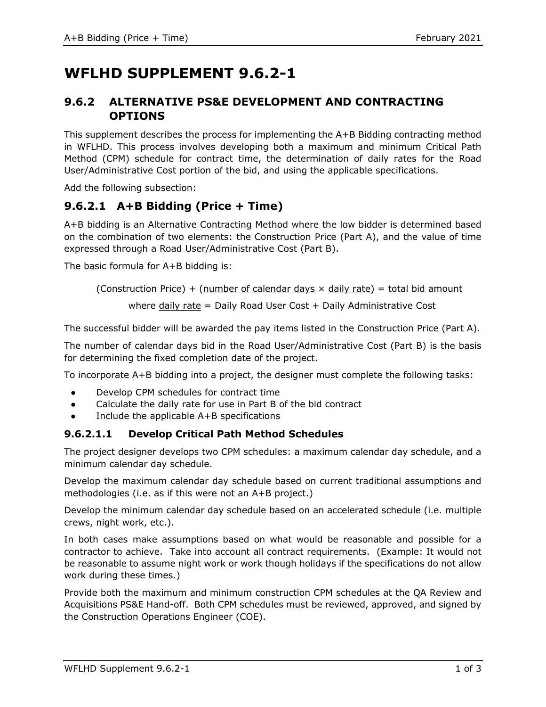# **WFLHD SUPPLEMENT 9.6.2-1**

## **9.6.2 ALTERNATIVE PS&E DEVELOPMENT AND CONTRACTING OPTIONS**

This supplement describes the process for implementing the A+B Bidding contracting method in WFLHD. This process involves developing both a maximum and minimum Critical Path Method (CPM) schedule for contract time, the determination of daily rates for the Road User/Administrative Cost portion of the bid, and using the applicable specifications.

Add the following subsection:

## **9.6.2.1 A+B Bidding (Price + Time)**

A+B bidding is an Alternative Contracting Method where the low bidder is determined based on the combination of two elements: the Construction Price (Part A), and the value of time expressed through a Road User/Administrative Cost (Part B).

The basic formula for A+B bidding is:

(Construction Price) + (number of calendar days  $\times$  daily rate) = total bid amount

where daily rate  $=$  Daily Road User Cost  $+$  Daily Administrative Cost

The successful bidder will be awarded the pay items listed in the Construction Price (Part A).

The number of calendar days bid in the Road User/Administrative Cost (Part B) is the basis for determining the fixed completion date of the project.

To incorporate A+B bidding into a project, the designer must complete the following tasks:

- Develop CPM schedules for contract time
- Calculate the daily rate for use in Part B of the bid contract
- Include the applicable  $A+B$  specifications

#### **9.6.2.1.1 Develop Critical Path Method Schedules**

The project designer develops two CPM schedules: a maximum calendar day schedule, and a minimum calendar day schedule.

Develop the maximum calendar day schedule based on current traditional assumptions and methodologies (i.e. as if this were not an A+B project.)

Develop the minimum calendar day schedule based on an accelerated schedule (i.e. multiple crews, night work, etc.).

In both cases make assumptions based on what would be reasonable and possible for a contractor to achieve. Take into account all contract requirements. (Example: It would not be reasonable to assume night work or work though holidays if the specifications do not allow work during these times.)

Provide both the maximum and minimum construction CPM schedules at the QA Review and Acquisitions PS&E Hand-off. Both CPM schedules must be reviewed, approved, and signed by the Construction Operations Engineer (COE).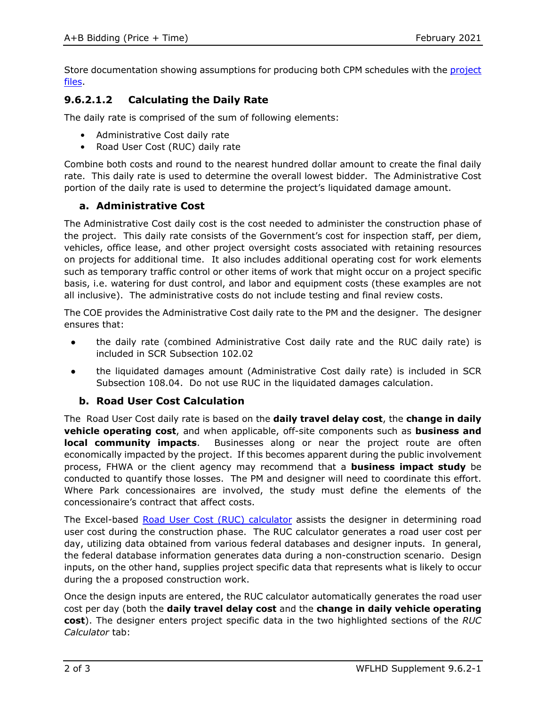Store documentation showing assumptions for producing both CPM schedules with the [project](https://highways.dot.gov/federal-lands/design/tools-wfl-structure/hwydesign-folder)  [files.](https://highways.dot.gov/federal-lands/design/tools-wfl-structure/hwydesign-folder)

### **9.6.2.1.2 Calculating the Daily Rate**

The daily rate is comprised of the sum of following elements:

- Administrative Cost daily rate
- Road User Cost (RUC) daily rate

Combine both costs and round to the nearest hundred dollar amount to create the final daily rate. This daily rate is used to determine the overall lowest bidder. The Administrative Cost portion of the daily rate is used to determine the project's liquidated damage amount.

#### **a. Administrative Cost**

The Administrative Cost daily cost is the cost needed to administer the construction phase of the project. This daily rate consists of the Government's cost for inspection staff, per diem, vehicles, office lease, and other project oversight costs associated with retaining resources on projects for additional time. It also includes additional operating cost for work elements such as temporary traffic control or other items of work that might occur on a project specific basis, i.e. watering for dust control, and labor and equipment costs (these examples are not all inclusive). The administrative costs do not include testing and final review costs.

The COE provides the Administrative Cost daily rate to the PM and the designer. The designer ensures that:

- the daily rate (combined Administrative Cost daily rate and the RUC daily rate) is included in SCR Subsection 102.02
- the liquidated damages amount (Administrative Cost daily rate) is included in SCR Subsection 108.04. Do not use RUC in the liquidated damages calculation.

#### **b. Road User Cost Calculation**

The Road User Cost daily rate is based on the **daily travel delay cost**, the **change in daily vehicle operating cost**, and when applicable, off-site components such as **business and local community impacts**. Businesses along or near the project route are often economically impacted by the project. If this becomes apparent during the public involvement process, FHWA or the client agency may recommend that a **business impact study** be conducted to quantify those losses. The PM and designer will need to coordinate this effort. Where Park concessionaires are involved, the study must define the elements of the concessionaire's contract that affect costs.

The Excel-based [Road User Cost \(RUC\) calculator](https://highways.dot.gov/federal-lands/design/tools-wfl/road-user-cost-calculator) assists the designer in determining road user cost during the construction phase. The RUC calculator generates a road user cost per day, utilizing data obtained from various federal databases and designer inputs. In general, the federal database information generates data during a non-construction scenario. Design inputs, on the other hand, supplies project specific data that represents what is likely to occur during the a proposed construction work.

Once the design inputs are entered, the RUC calculator automatically generates the road user cost per day (both the **daily travel delay cost** and the **change in daily vehicle operating cost**). The designer enters project specific data in the two highlighted sections of the *RUC Calculator* tab: